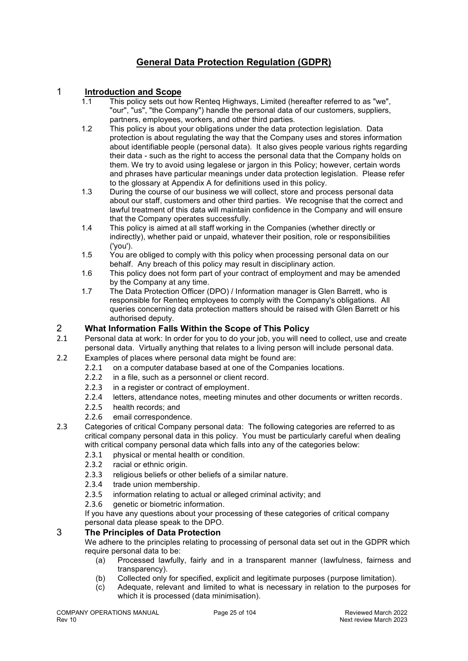# **General Data Protection Regulation (GDPR)**

## 1 **Introduction and Scope**

- 1.1 This policy sets out how Renteq Highways, Limited (hereafter referred to as "we", "our", "us", "the Company") handle the personal data of our customers, suppliers, partners, employees, workers, and other third parties.
- 1.2 This policy is about your obligations under the data protection legislation. Data protection is about regulating the way that the Company uses and stores information about identifiable people (personal data). It also gives people various rights regarding their data - such as the right to access the personal data that the Company holds on them. We try to avoid using legalese or jargon in this Policy; however, certain words and phrases have particular meanings under data protection legislation. Please refer to the glossary at Appendix A for definitions used in this policy.
- 1.3 During the course of our business we will collect, store and process personal data about our staff, customers and other third parties. We recognise that the correct and lawful treatment of this data will maintain confidence in the Company and will ensure that the Company operates successfully.
- 1.4 This policy is aimed at all staff working in the Companies (whether directly or indirectly), whether paid or unpaid, whatever their position, role or responsibilities ('you').
- 1.5 You are obliged to comply with this policy when processing personal data on our behalf. Any breach of this policy may result in disciplinary action.
- 1.6 This policy does not form part of your contract of employment and may be amended by the Company at any time.
- 1.7 The Data Protection Officer (DPO) / Information manager is Glen Barrett, who is responsible for Renteq employees to comply with the Company's obligations. All queries concerning data protection matters should be raised with Glen Barrett or his authorised deputy.

#### 2 **What Information Falls Within the Scope of This Policy**

- 2.1 Personal data at work: In order for you to do your job, you will need to collect, use and create personal data. Virtually anything that relates to a living person will include personal data.
- 2.2 Examples of places where personal data might be found are:
	- 2.2.1 on a computer database based at one of the Companies locations.
	- 2.2.2 in a file, such as a personnel or client record.
	- 2.2.3 in a register or contract of employment.
	- 2.2.4 letters, attendance notes, meeting minutes and other documents or written records.<br>2.2.5 health records: and
	- health records; and
	- 2.2.6 email correspondence.
- 2.3 Categories of critical Company personal data: The following categories are referred to as critical company personal data in this policy. You must be particularly careful when dealing with critical company personal data which falls into any of the categories below:
	- 2.3.1 physical or mental health or condition.<br>2.3.2 racial or ethnic origin.
	- racial or ethnic origin.
	- 2.3.3 religious beliefs or other beliefs of a similar nature.
	- 2.3.4 trade union membership.
	- 2.3.5 information relating to actual or alleged criminal activity; and<br>2.3.6 oenetic or biometric information
	- 2.3.6 genetic or biometric information.

If you have any questions about your processing of these categories of critical company personal data please speak to the DPO.

## 3 **The Principles of Data Protection**

We adhere to the principles relating to processing of personal data set out in the GDPR which require personal data to be:

- (a) Processed lawfully, fairly and in a transparent manner (lawfulness, fairness and transparency).
- (b) Collected only for specified, explicit and legitimate purposes (purpose limitation).
- (c) Adequate, relevant and limited to what is necessary in relation to the purposes for which it is processed (data minimisation).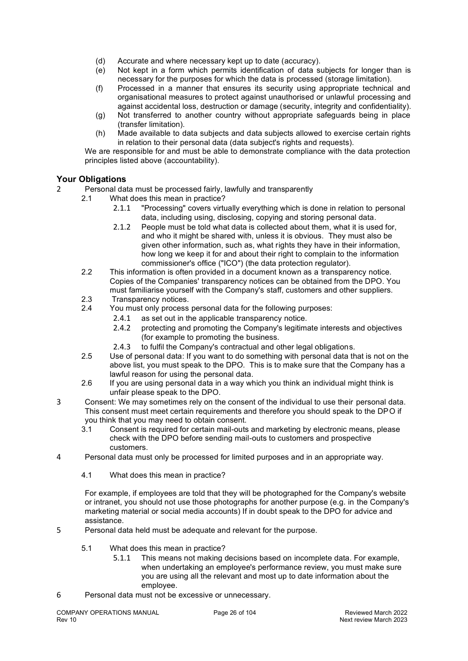- (d) Accurate and where necessary kept up to date (accuracy).
- (e) Not kept in a form which permits identification of data subjects for longer than is necessary for the purposes for which the data is processed (storage limitation).
- (f) Processed in a manner that ensures its security using appropriate technical and organisational measures to protect against unauthorised or unlawful processing and against accidental loss, destruction or damage (security, integrity and confidentiality).
- (g) Not transferred to another country without appropriate safeguards being in place (transfer limitation).
- (h) Made available to data subjects and data subjects allowed to exercise certain rights in relation to their personal data (data subject's rights and requests).

We are responsible for and must be able to demonstrate compliance with the data protection principles listed above (accountability).

## **Your Obligations**

- 2 Personal data must be processed fairly, lawfully and transparently<br>2.1 What does this mean in practice?
	- What does this mean in practice?
		- 2.1.1 "Processing" covers virtually everything which is done in relation to personal data, including using, disclosing, copying and storing personal data.
		- 2.1.2 People must be told what data is collected about them, what it is used for, and who it might be shared with, unless it is obvious. They must also be given other information, such as, what rights they have in their information, how long we keep it for and about their right to complain to the information commissioner's office ("ICO") (the data protection regulator).
		- 2.2 This information is often provided in a document known as a transparency notice. Copies of the Companies' transparency notices can be obtained from the DPO. You must familiarise yourself with the Company's staff, customers and other suppliers.
		- 2.3 Transparency notices.
		- 2.4 You must only process personal data for the following purposes:
			- 2.4.1 as set out in the applicable transparency notice.
			- 2.4.2 protecting and promoting the Company's legitimate interests and objectives (for example to promoting the business.
			- 2.4.3 to fulfil the Company's contractual and other legal obligations.
		- 2.5 Use of personal data: If you want to do something with personal data that is not on the above list, you must speak to the DPO. This is to make sure that the Company has a lawful reason for using the personal data.
		- 2.6 If you are using personal data in a way which you think an individual might think is unfair please speak to the DPO.
- 3 Consent: We may sometimes rely on the consent of the individual to use their personal data. This consent must meet certain requirements and therefore you should speak to the DPO if you think that you may need to obtain consent.
	- 3.1 Consent is required for certain mail-outs and marketing by electronic means, please check with the DPO before sending mail-outs to customers and prospective customers.
- 4 Personal data must only be processed for limited purposes and in an appropriate way.
	- 4.1 What does this mean in practice?

For example, if employees are told that they will be photographed for the Company's website or intranet, you should not use those photographs for another purpose (e.g. in the Company's marketing material or social media accounts) If in doubt speak to the DPO for advice and assistance.

- 5 Personal data held must be adequate and relevant for the purpose.
	- 5.1 What does this mean in practice?
		- 5.1.1 This means not making decisions based on incomplete data. For example, when undertaking an employee's performance review, you must make sure you are using all the relevant and most up to date information about the employee.
- 6 Personal data must not be excessive or unnecessary.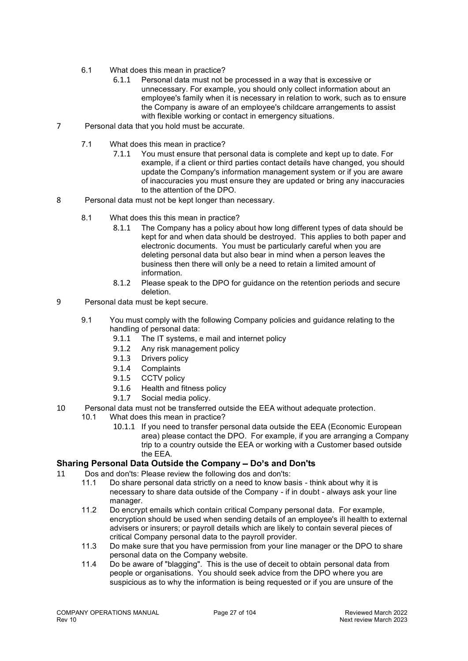- 6.1 What does this mean in practice?
	- 6.1.1 Personal data must not be processed in a way that is excessive or unnecessary. For example, you should only collect information about an employee's family when it is necessary in relation to work, such as to ensure the Company is aware of an employee's childcare arrangements to assist with flexible working or contact in emergency situations.
- 7 Personal data that you hold must be accurate.
	- 7.1 What does this mean in practice?
		- 7.1.1 You must ensure that personal data is complete and kept up to date. For example, if a client or third parties contact details have changed, you should update the Company's information management system or if you are aware of inaccuracies you must ensure they are updated or bring any inaccuracies to the attention of the DPO.
- 8 Personal data must not be kept longer than necessary.
	- 8.1 What does this this mean in practice?
		- 8.1.1 The Company has a policy about how long different types of data should be kept for and when data should be destroyed. This applies to both paper and electronic documents. You must be particularly careful when you are deleting personal data but also bear in mind when a person leaves the business then there will only be a need to retain a limited amount of information.
		- 8.1.2 Please speak to the DPO for guidance on the retention periods and secure deletion.
- 9 Personal data must be kept secure.
	- 9.1 You must comply with the following Company policies and guidance relating to the handling of personal data:
		- 9.1.1 The IT systems, e mail and internet policy
		- 9.1.2 Any risk management policy
		- 9.1.3 Drivers policy
		-
		- 9.1.4 Complaints<br>9.1.5 CCTV polic CCTV policy
		- 9.1.6 Health and fitness policy
		- 9.1.7 Social media policy.
- 10 Personal data must not be transferred outside the EEA without adequate protection.<br>10.1 What does this mean in practice?
	- What does this mean in practice?
		- 10.1.1 If you need to transfer personal data outside the EEA (Economic European area) please contact the DPO. For example, if you are arranging a Company trip to a country outside the EEA or working with a Customer based outside the EEA*.*

#### **Sharing Personal Data Outside the Company - Do's and Don'ts**

- 11 Dos and don'ts: Please review the following dos and don'ts:
	- 11.1 Do share personal data strictly on a need to know basis think about why it is necessary to share data outside of the Company - if in doubt - always ask your line manager.
	- 11.2 Do encrypt emails which contain critical Company personal data. For example, encryption should be used when sending details of an employee's ill health to external advisers or insurers; or payroll details which are likely to contain several pieces of critical Company personal data to the payroll provider.
	- 11.3 Do make sure that you have permission from your line manager or the DPO to share personal data on the Company website.
	- 11.4 Do be aware of "blagging". This is the use of deceit to obtain personal data from people or organisations. You should seek advice from the DPO where you are suspicious as to why the information is being requested or if you are unsure of the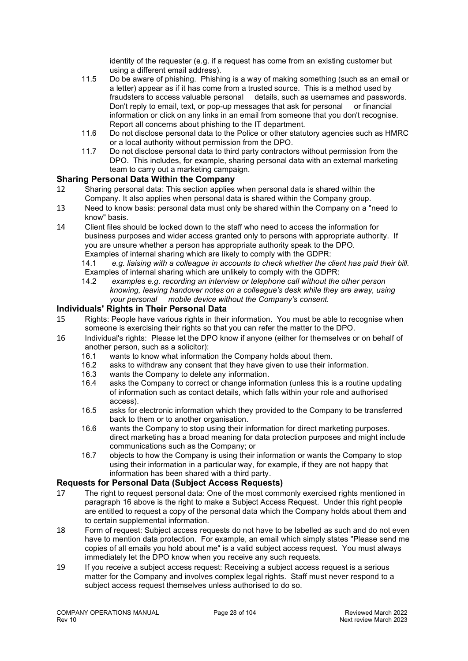identity of the requester (e.g. if a request has come from an existing customer but using a different email address).

- 11.5 Do be aware of phishing. Phishing is a way of making something (such as an email or a letter) appear as if it has come from a trusted source. This is a method used by fraudsters to access valuable personal details, such as usernames and passwords. Don't reply to email, text, or pop-up messages that ask for personal or financial information or click on any links in an email from someone that you don't recognise. Report all concerns about phishing to the IT department.
- 11.6 Do not disclose personal data to the Police or other statutory agencies such as HMRC or a local authority without permission from the DPO.
- 11.7 Do not disclose personal data to third party contractors without permission from the DPO. This includes, for example, sharing personal data with an external marketing team to carry out a marketing campaign.

## **Sharing Personal Data Within the Company**

- 12 Sharing personal data: This section applies when personal data is shared within the Company. It also applies when personal data is shared within the Company group.
- 13 Need to know basis: personal data must only be shared within the Company on a "need to know" basis.
- 14 Client files should be locked down to the staff who need to access the information for business purposes and wider access granted only to persons with appropriate authority. If you are unsure whether a person has appropriate authority speak to the DPO. Examples of internal sharing which are likely to comply with the GDPR:
	- 14.1 *e.g. liaising with a colleague in accounts to check whether the client has paid their bill.* Examples of internal sharing which are unlikely to comply with the GDPR:<br>14.2 examples e.g. recording an interview or telephone call without the
	- 14.2 *examples e.g. recording an interview or telephone call without the other person knowing, leaving handover notes on a colleague's desk while they are away, using your personal mobile device without the Company's consent.*

## **Individuals' Rights in Their Personal Data**

- 15 Rights: People have various rights in their information. You must be able to recognise when someone is exercising their rights so that you can refer the matter to the DPO.
- 16 Individual's rights: Please let the DPO know if anyone (either for themselves or on behalf of another person, such as a solicitor):
	- 16.1 wants to know what information the Company holds about them.<br>16.2 asks to withdraw any consent that they have given to use their in
	- 16.2 asks to withdraw any consent that they have given to use their information.<br>16.3 wants the Company to delete any information.
	- wants the Company to delete any information.
	- 16.4 asks the Company to correct or change information (unless this is a routine updating of information such as contact details, which falls within your role and authorised access).
	- 16.5 asks for electronic information which they provided to the Company to be transferred back to them or to another organisation.
	- 16.6 wants the Company to stop using their information for direct marketing purposes. direct marketing has a broad meaning for data protection purposes and might include communications such as the Company; or
	- 16.7 objects to how the Company is using their information or wants the Company to stop using their information in a particular way, for example, if they are not happy that information has been shared with a third party.

#### **Requests for Personal Data (Subject Access Requests)**

- 17 The right to request personal data: One of the most commonly exercised rights mentioned in paragraph 16 above is the right to make a Subject Access Request. Under this right people are entitled to request a copy of the personal data which the Company holds about them and to certain supplemental information.
- 18 Form of request: Subject access requests do not have to be labelled as such and do not even have to mention data protection. For example, an email which simply states "Please send me copies of all emails you hold about me" is a valid subject access request. You must always immediately let the DPO know when you receive any such requests.
- 19 If you receive a subject access request: Receiving a subject access request is a serious matter for the Company and involves complex legal rights. Staff must never respond to a subject access request themselves unless authorised to do so.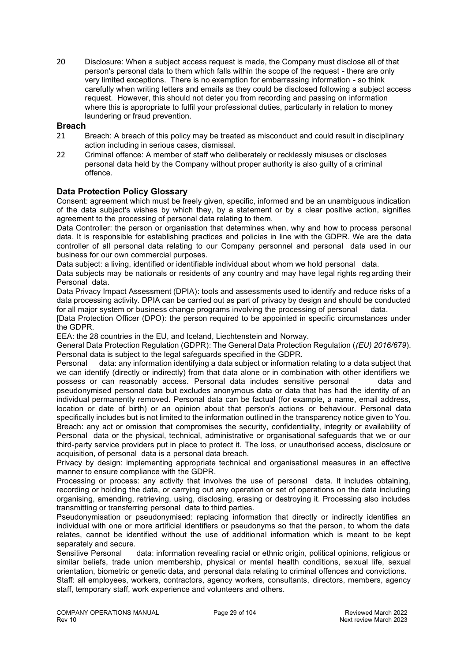20 Disclosure: When a subject access request is made, the Company must disclose all of that person's personal data to them which falls within the scope of the request - there are only very limited exceptions. There is no exemption for embarrassing information - so think carefully when writing letters and emails as they could be disclosed following a subject access request. However, this should not deter you from recording and passing on information where this is appropriate to fulfil your professional duties, particularly in relation to money laundering or fraud prevention.

#### **Breach**

- 21 Breach: A breach of this policy may be treated as misconduct and could result in disciplinary action including in serious cases, dismissal.
- 22 Criminal offence: A member of staff who deliberately or recklessly misuses or discloses personal data held by the Company without proper authority is also guilty of a criminal offence.

## **Data Protection Policy Glossary**

Consent: agreement which must be freely given, specific, informed and be an unambiguous indication of the data subject's wishes by which they, by a statement or by a clear positive action, signifies agreement to the processing of personal data relating to them.

Data Controller: the person or organisation that determines when, why and how to process personal data. It is responsible for establishing practices and policies in line with the GDPR. We are the data controller of all personal data relating to our Company personnel and personal data used in our business for our own commercial purposes.

Data subject: a living, identified or identifiable individual about whom we hold personal data.

Data subjects may be nationals or residents of any country and may have legal rights reg arding their Personal data.

Data Privacy Impact Assessment (DPIA): tools and assessments used to identify and reduce risks of a data processing activity. DPIA can be carried out as part of privacy by design and should be conducted for all major system or business change programs involving the processing of personal data.

[Data Protection Officer (DPO): the person required to be appointed in specific circumstances under the GDPR.

EEA: the 28 countries in the EU, and Iceland, Liechtenstein and Norway.

General Data Protection Regulation (GDPR): The General Data Protection Regulation (*(EU) 2016/679*). Personal data is subject to the legal safeguards specified in the GDPR.

Personal data: any information identifying a data subject or information relating to a data subject that we can identify (directly or indirectly) from that data alone or in combination with other identifiers we possess or can reasonably access. Personal data includes sensitive personal data and pseudonymised personal data but excludes anonymous data or data that has had the identity of an individual permanently removed. Personal data can be factual (for example, a name, email address, location or date of birth) or an opinion about that person's actions or behaviour. Personal data specifically includes but is not limited to the information outlined in the transparency notice given to You. Breach: any act or omission that compromises the security, confidentiality, integrity or availability of Personal data or the physical, technical, administrative or organisational safeguards that we or our third-party service providers put in place to protect it. The loss, or unauthorised access, disclosure or acquisition, of personal data is a personal data breach.

Privacy by design: implementing appropriate technical and organisational measures in an effective manner to ensure compliance with the GDPR.

Processing or process: any activity that involves the use of personal data. It includes obtaining, recording or holding the data, or carrying out any operation or set of operations on the data including organising, amending, retrieving, using, disclosing, erasing or destroying it. Processing also includes transmitting or transferring personal data to third parties.

Pseudonymisation or pseudonymised: replacing information that directly or indirectly identifies an individual with one or more artificial identifiers or pseudonyms so that the person, to whom the data relates, cannot be identified without the use of additional information which is meant to be kept separately and secure.

Sensitive Personal data: information revealing racial or ethnic origin, political opinions, religious or similar beliefs, trade union membership, physical or mental health conditions, sexual life, sexual orientation, biometric or genetic data, and personal data relating to criminal offences and convictions.

Staff: all employees, workers, contractors, agency workers, consultants, directors, members, agency staff, temporary staff, work experience and volunteers and others.